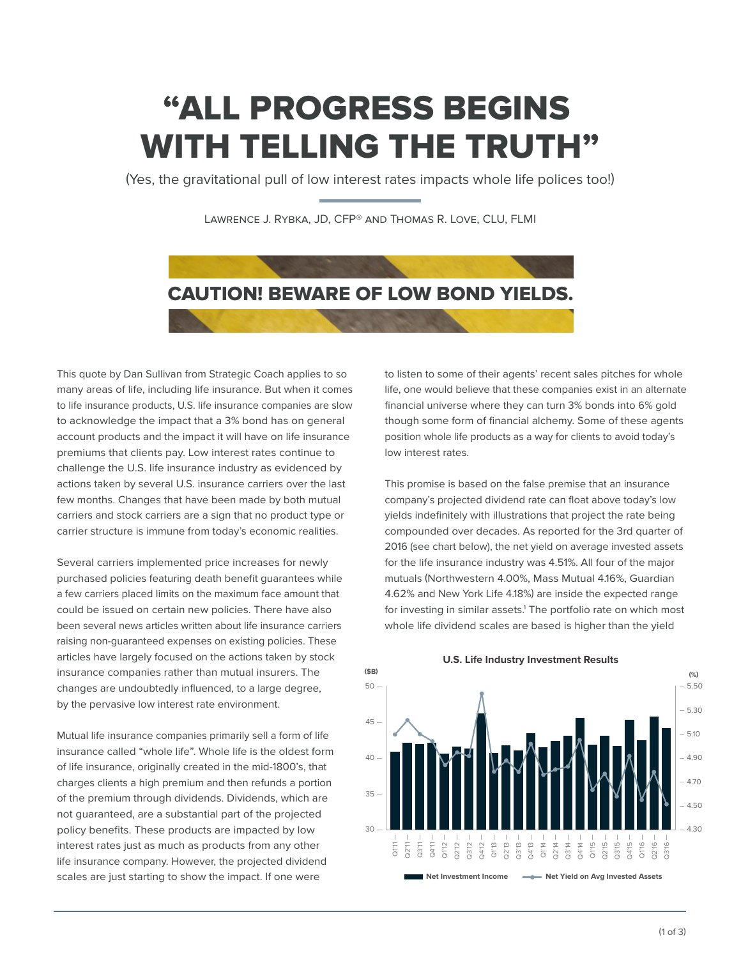## "ALL PROGRESS BEGINS WITH TELLING THE TRUTH"

(Yes, the gravitational pull of low interest rates impacts whole life polices too!)

Lawrence J. Rybka, JD, CFP® and Thomas R. Love, CLU, FLMI



This quote by Dan Sullivan from Strategic Coach applies to so many areas of life, including life insurance. But when it comes to life insurance products, U.S. life insurance companies are slow to acknowledge the impact that a 3% bond has on general account products and the impact it will have on life insurance premiums that clients pay. Low interest rates continue to challenge the U.S. life insurance industry as evidenced by actions taken by several U.S. insurance carriers over the last few months. Changes that have been made by both mutual carriers and stock carriers are a sign that no product type or carrier structure is immune from today's economic realities.

Several carriers implemented price increases for newly purchased policies featuring death benefit guarantees while a few carriers placed limits on the maximum face amount that could be issued on certain new policies. There have also been several news articles written about life insurance carriers raising non-guaranteed expenses on existing policies. These articles have largely focused on the actions taken by stock insurance companies rather than mutual insurers. The changes are undoubtedly influenced, to a large degree, by the pervasive low interest rate environment.

Mutual life insurance companies primarily sell a form of life insurance called "whole life". Whole life is the oldest form of life insurance, originally created in the mid-1800's, that charges clients a high premium and then refunds a portion of the premium through dividends. Dividends, which are not guaranteed, are a substantial part of the projected policy benefits. These products are impacted by low interest rates just as much as products from any other life insurance company. However, the projected dividend scales are just starting to show the impact. If one were

to listen to some of their agents' recent sales pitches for whole life, one would believe that these companies exist in an alternate financial universe where they can turn 3% bonds into 6% gold though some form of financial alchemy. Some of these agents position whole life products as a way for clients to avoid today's low interest rates.

This promise is based on the false premise that an insurance company's projected dividend rate can float above today's low yields indefinitely with illustrations that project the rate being compounded over decades. As reported for the 3rd quarter of 2016 (see chart below), the net yield on average invested assets for the life insurance industry was 4.51%. All four of the major mutuals (Northwestern 4.00%, Mass Mutual 4.16%, Guardian 4.62% and New York Life 4.18%) are inside the expected range for investing in similar assets.<sup>1</sup> The portfolio rate on which most whole life dividend scales are based is higher than the yield



**U.S. Life Industry Investment Results**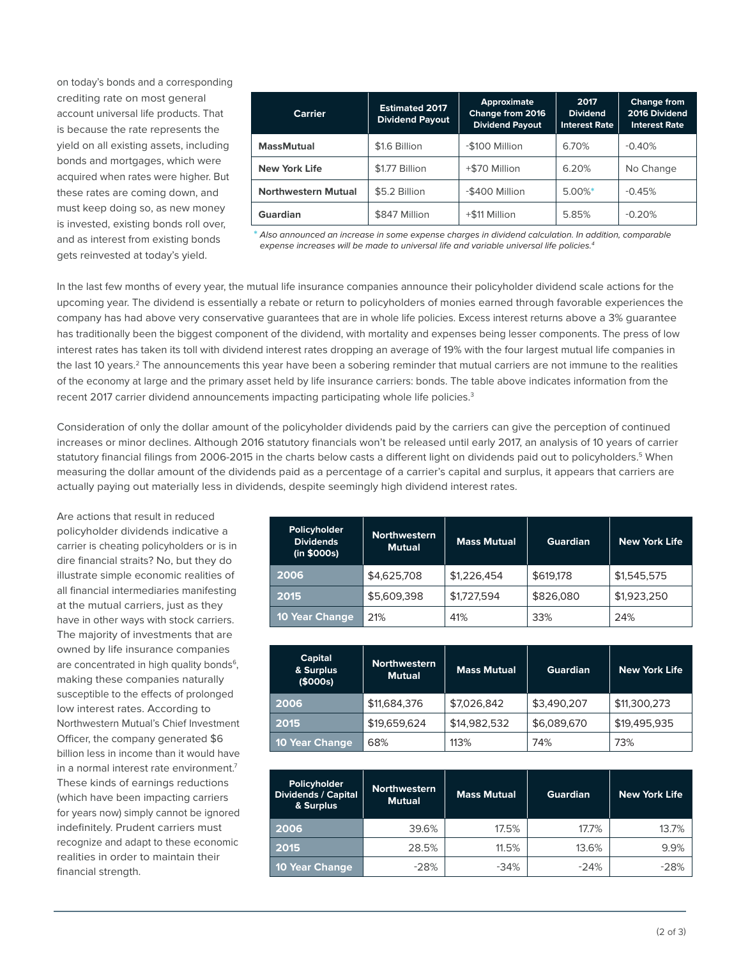on today's bonds and a corresponding crediting rate on most general account universal life products. That is because the rate represents the yield on all existing assets, including bonds and mortgages, which were acquired when rates were higher. But these rates are coming down, and must keep doing so, as new money is invested, existing bonds roll over, and as interest from existing bonds gets reinvested at today's yield.

| <b>Carrier</b>             | <b>Estimated 2017</b><br><b>Dividend Payout</b> | <b>Approximate</b><br>Change from 2016<br><b>Dividend Payout</b> | 2017<br><b>Dividend</b><br><b>Interest Rate</b> | <b>Change from</b><br>2016 Dividend<br><b>Interest Rate</b> |
|----------------------------|-------------------------------------------------|------------------------------------------------------------------|-------------------------------------------------|-------------------------------------------------------------|
| <b>MassMutual</b>          | \$1.6 Billion                                   | -\$100 Million                                                   | 6.70%                                           | $-0.40%$                                                    |
| <b>New York Life</b>       | \$1.77 Billion                                  | +\$70 Million                                                    | 6.20%                                           | No Change                                                   |
| <b>Northwestern Mutual</b> | \$5.2 Billion                                   | -\$400 Million                                                   | $5.00\%$ *                                      | $-0.45%$                                                    |
| Guardian                   | \$847 Million                                   | +\$11 Million                                                    | 5.85%                                           | $-0.20%$                                                    |

\* *Also announced an increase in some expense charges in dividend calculation. In addition, comparable expense increases will be made to universal life and variable universal life policies.4*

In the last few months of every year, the mutual life insurance companies announce their policyholder dividend scale actions for the upcoming year. The dividend is essentially a rebate or return to policyholders of monies earned through favorable experiences the company has had above very conservative guarantees that are in whole life policies. Excess interest returns above a 3% guarantee has traditionally been the biggest component of the dividend, with mortality and expenses being lesser components. The press of low interest rates has taken its toll with dividend interest rates dropping an average of 19% with the four largest mutual life companies in the last 10 years.<sup>2</sup> The announcements this year have been a sobering reminder that mutual carriers are not immune to the realities of the economy at large and the primary asset held by life insurance carriers: bonds. The table above indicates information from the recent 2017 carrier dividend announcements impacting participating whole life policies.<sup>3</sup>

Consideration of only the dollar amount of the policyholder dividends paid by the carriers can give the perception of continued increases or minor declines. Although 2016 statutory financials won't be released until early 2017, an analysis of 10 years of carrier statutory financial filings from 2006-2015 in the charts below casts a different light on dividends paid out to policyholders.<sup>5</sup> When measuring the dollar amount of the dividends paid as a percentage of a carrier's capital and surplus, it appears that carriers are actually paying out materially less in dividends, despite seemingly high dividend interest rates.

Are actions that result in reduced policyholder dividends indicative a carrier is cheating policyholders or is in dire financial straits? No, but they do illustrate simple economic realities of all financial intermediaries manifesting at the mutual carriers, just as they have in other ways with stock carriers. The majority of investments that are owned by life insurance companies are concentrated in high quality bonds<sup>6</sup>, making these companies naturally susceptible to the effects of prolonged low interest rates. According to Northwestern Mutual's Chief Investment Officer, the company generated \$6 billion less in income than it would have in a normal interest rate environment.7 These kinds of earnings reductions (which have been impacting carriers for years now) simply cannot be ignored indefinitely. Prudent carriers must recognize and adapt to these economic realities in order to maintain their financial strength.

| <b>Policyholder</b><br><b>Dividends</b><br>(in \$000s) | <b>Northwestern</b><br><b>Mutual</b> | <b>Mass Mutual</b> | <b>Guardian</b> | <b>New York Life</b> |
|--------------------------------------------------------|--------------------------------------|--------------------|-----------------|----------------------|
| 2006                                                   | \$4,625,708                          | \$1,226,454        | \$619,178       | \$1,545,575          |
| 2015                                                   | \$5,609,398                          | \$1,727,594        | \$826,080       | \$1,923,250          |
| <b>10 Year Change</b>                                  | 21%                                  | 41%                | 33%             | 24%                  |

| <b>Capital</b><br>& Surplus<br>(\$000s) | <b>Northwestern</b><br><b>Mutual</b> | <b>Mass Mutual</b> | <b>Guardian</b> | <b>New York Life</b> |
|-----------------------------------------|--------------------------------------|--------------------|-----------------|----------------------|
| 2006                                    | \$11,684,376                         | \$7,026,842        | \$3,490,207     | \$11,300,273         |
| 2015                                    | \$19,659,624                         | \$14,982,532       | \$6,089,670     | \$19,495,935         |
| <b>10 Year Change</b>                   | 68%                                  | 113%               | 74%             | 73%                  |

| Policyholder<br><b>Dividends / Capital</b><br>& Surplus | <b>Northwestern</b><br><b>Mutual</b> | <b>Mass Mutual</b> | <b>Guardian</b> | New York Life |
|---------------------------------------------------------|--------------------------------------|--------------------|-----------------|---------------|
| 2006                                                    | 39.6%                                | 17.5%              | 17.7%           | 13.7%         |
| 2015                                                    | 28.5%                                | 11.5%              | 13.6%           | 9.9%          |
| <b>10 Year Change</b>                                   | $-28%$                               | $-34%$             | $-24%$          | $-28%$        |